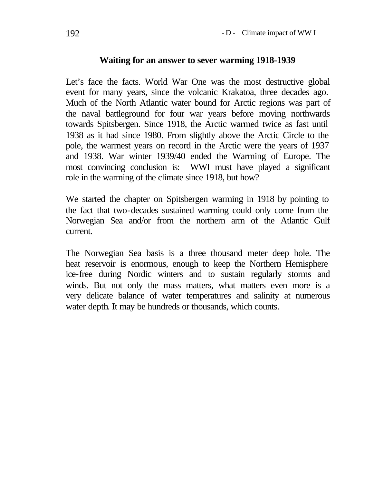## **Waiting for an answer to sever warming 1918-1939**

Let's face the facts. World War One was the most destructive global event for many years, since the volcanic Krakatoa, three decades ago. Much of the North Atlantic water bound for Arctic regions was part of the naval battleground for four war years before moving northwards towards Spitsbergen. Since 1918, the Arctic warmed twice as fast until 1938 as it had since 1980. From slightly above the Arctic Circle to the pole, the warmest years on record in the Arctic were the years of 1937 and 1938. War winter 1939/40 ended the Warming of Europe. The most convincing conclusion is: WWI must have played a significant role in the warming of the climate since 1918, but how?

We started the chapter on Spitsbergen warming in 1918 by pointing to the fact that two-decades sustained warming could only come from the Norwegian Sea and/or from the northern arm of the Atlantic Gulf current.

The Norwegian Sea basis is a three thousand meter deep hole. The heat reservoir is enormous, enough to keep the Northern Hemisphere ice-free during Nordic winters and to sustain regularly storms and winds. But not only the mass matters, what matters even more is a very delicate balance of water temperatures and salinity at numerous water depth. It may be hundreds or thousands, which counts.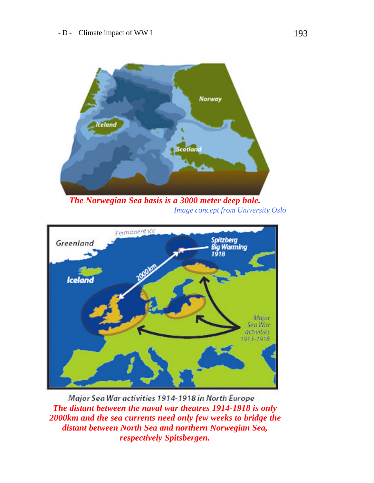

*The Norwegian Sea basis is a 3000 meter deep hole. Image concept from University Oslo*



Major Sea War activities 1914-1918 in North Europe *The distant between the naval war theatres 1914-1918 is only 2000km and the sea currents need only few weeks to bridge the distant between North Sea and northern Norwegian Sea, respectively Spitsbergen.*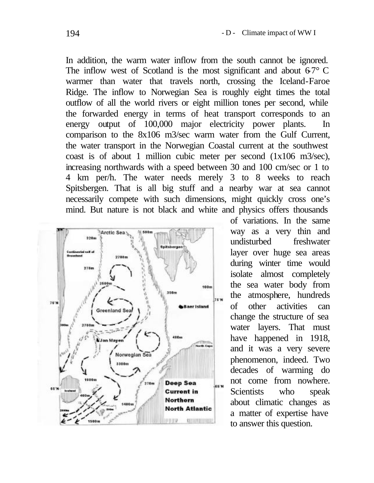In addition, the warm water inflow from the south cannot be ignored. The inflow west of Scotland is the most significant and about  $67^{\circ}$  C warmer than water that travels north, crossing the Iceland-Faroe Ridge. The inflow to Norwegian Sea is roughly eight times the total outflow of all the world rivers or eight million tones per second, while the forwarded energy in terms of heat transport corresponds to an energy output of 100,000 major electricity power plants. In comparison to the 8x106 m3/sec warm water from the Gulf Current, the water transport in the Norwegian Coastal current at the southwest coast is of about 1 million cubic meter per second (1x106 m3/sec), increasing northwards with a speed between 30 and 100 cm/sec or 1 to 4 km per/h. The water needs merely 3 to 8 weeks to reach Spitsbergen. That is all big stuff and a nearby war at sea cannot necessarily compete with such dimensions, might quickly cross one's mind. But nature is not black and white and physics offers thousands



of variations. In the same way as a very thin and undisturbed freshwater layer over huge sea areas during winter time would isolate almost completely the sea water body from the atmosphere, hundreds of other activities can change the structure of sea water layers. That must have happened in 1918, and it was a very severe phenomenon, indeed. Two decades of warming do not come from nowhere. Scientists who speak about climatic changes as a matter of expertise have to answer this question.